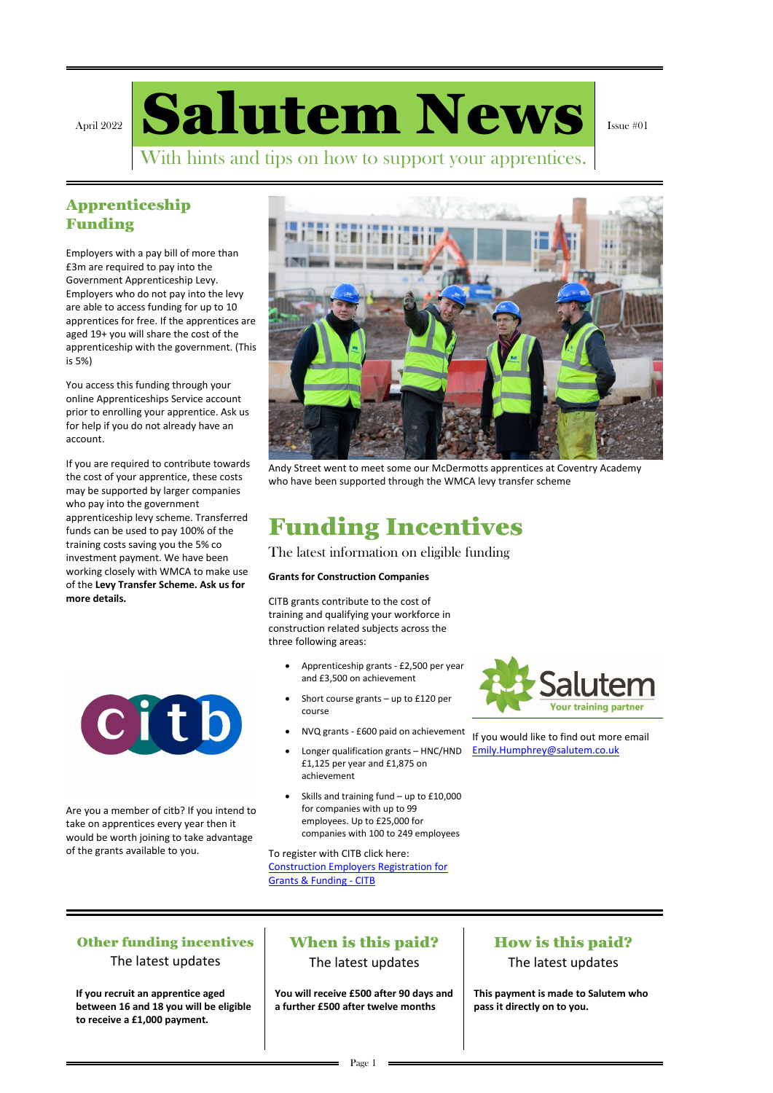April 2022 Salutem News

Issue #01

With hints and tips on how to support your apprentices.

### Apprenticeship Funding

Employers with a pay bill of more than £3m are required to pay into the Government Apprenticeship Levy. Employers who do not pay into the levy are able to access funding for up to 10 apprentices for free. If the apprentices are aged 19+ you will share the cost of the apprenticeship with the government. (This is 5%)

You access this funding through your online Apprenticeships Service account prior to enrolling your apprentice. Ask us for help if you do not already have an account.

If you are required to contribute towards the cost of your apprentice, these costs may be supported by larger companies who pay into the government apprenticeship levy scheme. Transferred funds can be used to pay 100% of the training costs saving you the 5% co investment payment. We have been working closely with WMCA to make use of the **Levy Transfer Scheme. Ask us for more details.**





Andy Street went to meet some our McDermotts apprentices at Coventry Academy who have been supported through the WMCA levy transfer scheme

## Funding Incentives

The latest information on eligible funding

### **Grants for Construction Companies**

CITB grants contribute to the cost of training and qualifying your workforce in construction related subjects across the three following areas:

- Apprenticeship grants £2,500 per year and £3,500 on achievement
- Short course grants  $-$  up to £120 per course
- NVQ grants £600 paid on achievement
- Longer qualification grants HNC/HND £1,125 per year and £1,875 on achievement
- Skills and training fund up to £10,000 for companies with up to 99 employees. Up to £25,000 for



companies with 100 to 249 employees

To register with CITB click here: [Construction Employers Registration for](https://www.citb.co.uk/levy-grants-and-funding/citb-levy/how-to-register/employer-registration-form/)  [Grants & Funding -](https://www.citb.co.uk/levy-grants-and-funding/citb-levy/how-to-register/employer-registration-form/) CITB

If you would like to find out more email [Emily.Humphrey@salutem.co.uk](mailto:Emily.Humphrey@salutem.co.uk)

Are you a member of citb? If you intend to take on apprentices every year then it

would be worth joining to take advantage of the grants available to you.

### Other funding incentives

The latest updates

### When is this paid?

The latest updates

How is this paid?

The latest updates

**If you recruit an apprentice aged between 16 and 18 you will be eligible to receive a £1,000 payment.**

**You will receive £500 after 90 days and a further £500 after twelve months**

**This payment is made to Salutem who pass it directly on to you.**

 $=$  Page 1  $=$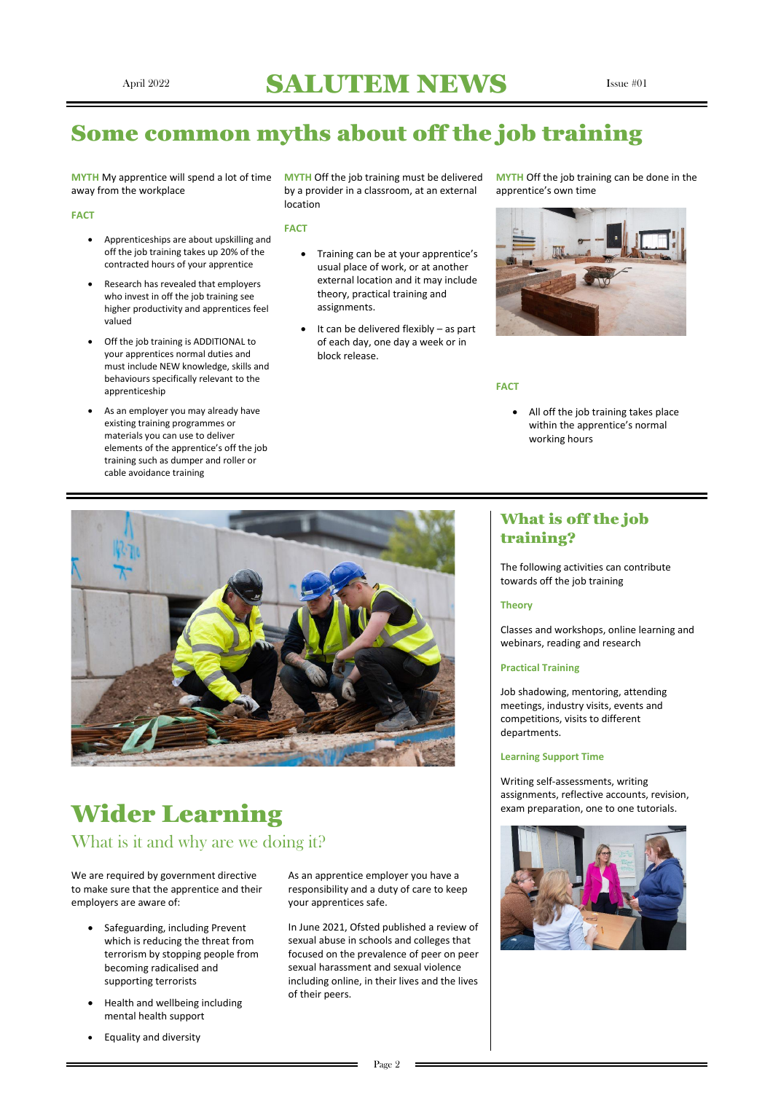## April 2022 SALUTEM NEWS Issue #01

## Some common myths about off the job training

**MYTH** My apprentice will spend a lot of time **MYTH** Off the job training must be delivered away from the workplace

#### **FACT**

- Apprenticeships are about upskilling and off the job training takes up 20% of the contracted hours of your apprentice
- Research has revealed that employers who invest in off the job training see higher productivity and apprentices feel valued
- Off the job training is ADDITIONAL to your apprentices normal duties and must include NEW knowledge, skills and behaviours specifically relevant to the apprenticeship
- As an employer you may already have existing training programmes or materials you can use to deliver elements of the apprentice's off the job training such as dumper and roller or cable avoidance training

by a provider in a classroom, at an external location

#### **FACT**

- Training can be at your apprentice's usual place of work, or at another external location and it may include theory, practical training and assignments.
- It can be delivered flexibly as part of each day, one day a week or in block release.

**MYTH** Off the job training can be done in the apprentice's own time



#### **FACT**

• All off the job training takes place within the apprentice's normal working hours



## Wider Learning exam preparation, one to one tutorials.

### What is off the job training?

The following activities can contribute towards off the job training

#### **Theory**

Classes and workshops, online learning and webinars, reading and research

### **Practical Training**

Job shadowing, mentoring, attending meetings, industry visits, events and competitions, visits to different departments.

#### **Learning Support Time**

Writing self-assessments, writing assignments, reflective accounts, revision,

## What is it and why are we doing it?

We are required by government directive to make sure that the apprentice and their employers are aware of:

- Safeguarding, including Prevent which is reducing the threat from terrorism by stopping people from becoming radicalised and supporting terrorists
- Health and wellbeing including mental health support
- Equality and diversity

As an apprentice employer you have a responsibility and a duty of care to keep your apprentices safe.

In June 2021, Ofsted published a review of sexual abuse in schools and colleges that focused on the prevalence of peer on peer sexual harassment and sexual violence including online, in their lives and the lives of their peers.